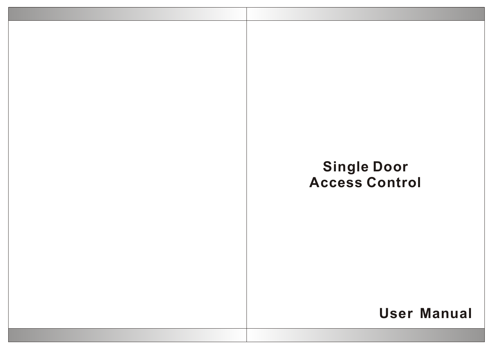# **User Manual Single Door Access Control**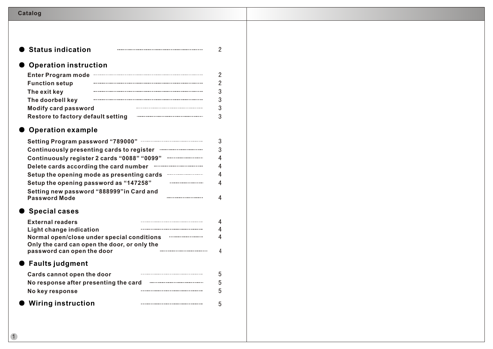| <b>Catalog</b> |
|----------------|
|----------------|

| <b>Operation instruction</b>                                               |  |
|----------------------------------------------------------------------------|--|
| <b>Enter Program mode</b>                                                  |  |
| <b>Function setup</b>                                                      |  |
| The exit key<br>The doorbell key                                           |  |
| <b>Modify card password</b>                                                |  |
| <b>Restore to factory default setting</b>                                  |  |
| <b>Operation example</b>                                                   |  |
| <b>Setting Program password "789000"</b>                                   |  |
| Continuously presenting cards to register                                  |  |
| Continuously register 2 cards "0088" "0099"                                |  |
| Delete cards according the card number                                     |  |
| Setup the opening mode as presenting cards                                 |  |
| Setup the opening password as "147258"                                     |  |
| Setting new password "888999" in Card and<br>Password Mode                 |  |
| <b>Special cases</b>                                                       |  |
| <b>External readers</b>                                                    |  |
| <b>Light change indication</b>                                             |  |
| Normal open/close under special conditions                                 |  |
| Only the card can open the door, or only the<br>password can open the door |  |
| $\bullet\,$ Faults judgment                                                |  |
| <b>Cards cannot open the door</b>                                          |  |
| No response after presenting the card                                      |  |
| No key response                                                            |  |
| <b>Wiring instruction</b>                                                  |  |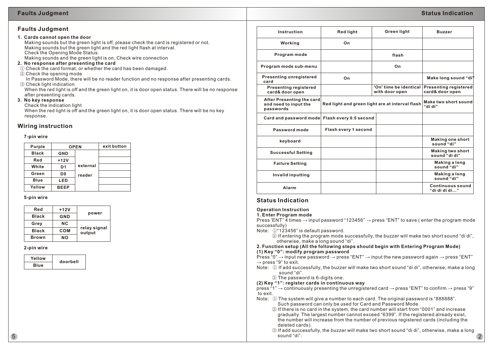# **Faults Judgment**

### **1. Cards cannot open the door**

 Making sounds but the green light is off, please check the card is registered or not. Making sounds but the green light and the red light flash at interval. Check the Opening Mode Status. Making sounds and the green light is on, Check wire connection

**2. No response after presenting the card**

① Check the card format, or whether the card has been damaged.

② Check the opening mode

 In Password Mode, there will be no reader function and no response after presenting cards. ③ Check light indication

 When the red light is off and the green light on, it is door open status. There will be no response after presenting cards.

# **3. No key response**

Check the indication light

 When the red light is off and the green light on, it is door open status. There will be no key response.

# **Wiring instruction**

### **7-pin wire**

| Purple       | <b>OPEN</b> |          | exit button |
|--------------|-------------|----------|-------------|
| <b>Black</b> | <b>GND</b>  |          |             |
| Red          | $+12V$      |          |             |
| White        | D1          | external |             |
| Green        | D0          | reader   |             |
| <b>Blue</b>  | LED         |          |             |
| Yellow       | <b>BEEP</b> |          |             |

### **5-pin wire**

| Red          | $+12V$     |                        |  |
|--------------|------------|------------------------|--|
|              |            | power                  |  |
| <b>Black</b> | <b>GND</b> |                        |  |
| Grey         | <b>NC</b>  |                        |  |
| <b>Black</b> | COM        | relay signal<br>output |  |
| <b>Brown</b> | <b>NO</b>  |                        |  |

# **2-pin wire**

| Yellow      | doorbell |
|-------------|----------|
| <b>Blue</b> |          |

| Instruction                                                     | <b>Red light</b>                                | Green light                              | <b>Buzzer</b>                                   |
|-----------------------------------------------------------------|-------------------------------------------------|------------------------------------------|-------------------------------------------------|
| Working                                                         | On                                              |                                          |                                                 |
| Program mode                                                    |                                                 | flash                                    |                                                 |
| Program mode sub-menu                                           |                                                 | On                                       |                                                 |
| <b>Presenting unregistered</b><br>card                          | On                                              |                                          | Make long sound "di"                            |
| <b>Presenting registered</b><br>card& door open                 |                                                 | 'On' time be identical<br>with door open | <b>Presenting registered</b><br>card& door open |
| After Presenting the card<br>and need to input the<br>passwords | Red light and green light are at interval flash |                                          | Make two short sound<br>"di di"                 |
| Card and password mode Flash every 0.5 second                   |                                                 |                                          |                                                 |
| Password mode                                                   | Flash every 1 second                            |                                          |                                                 |
| keyboard                                                        |                                                 |                                          | <b>Making one short</b><br>sound "di"           |
| <b>Successful Setting</b>                                       |                                                 |                                          | <b>Making two short</b><br>sound "di di"        |
| <b>Failure Setting</b>                                          |                                                 |                                          | Making a long<br>sound "di"                     |
| <b>Invalid inputting</b>                                        |                                                 |                                          | Making a long<br>sound "di"                     |
| Alarm                                                           |                                                 |                                          | <b>Continuous sound</b><br>"di di di di"        |

# **Status Indication**

## **Operation Instruction**

### **1. Enter Program mode**

Press 'ENT"  $\overline{4}$  times  $\rightarrow$  input password "123456"  $\rightarrow$  press "ENT" to save (enter the program mode successfully)

Note: ①"123456" is default password.

 ② If entering the program mode successfully, the buzzer will make two short sound "di di", otherwise, make a long sound "di".

**2. Function setup (All the following steps should begin with Entering Program Mode) (1) Key "0": modify program password**

Press "0"  $\rightarrow$  input new password  $\rightarrow$  press "ENT"  $\rightarrow$  input the new password again  $\rightarrow$  press "ENT"  $\rightarrow$  press "9" to exit.

- Note: ① If add successfully, the buzzer will make two short sound "di di", otherwise, make a long sound "di".
	- ② The password is 6-digits one.

# **(2) Key "1": register cards in continuous way**

press "1"  $\rightarrow$  continuously presenting the unregistered card  $\rightarrow$  press "ENT" to confirm  $\rightarrow$  press "9" to exit.

- Note: ① The system will give a number to each card. The original password is "888888". Such password can only be used for Card and Password Mode.
	- ② If there is no card in the system, the card number will start from "0001" and increase gradually. The largest number cannot exceed "6399". If the registered already exist, the number will increase from the number of previous registered cards (including the deleted cards).
- ③ If add successfully, the buzzer will make two short sound "di di", otherwise, make a long  $\mathsf{S}$  sound "di".  $\qquad \qquad \qquad \qquad \qquad \mathsf{S}$